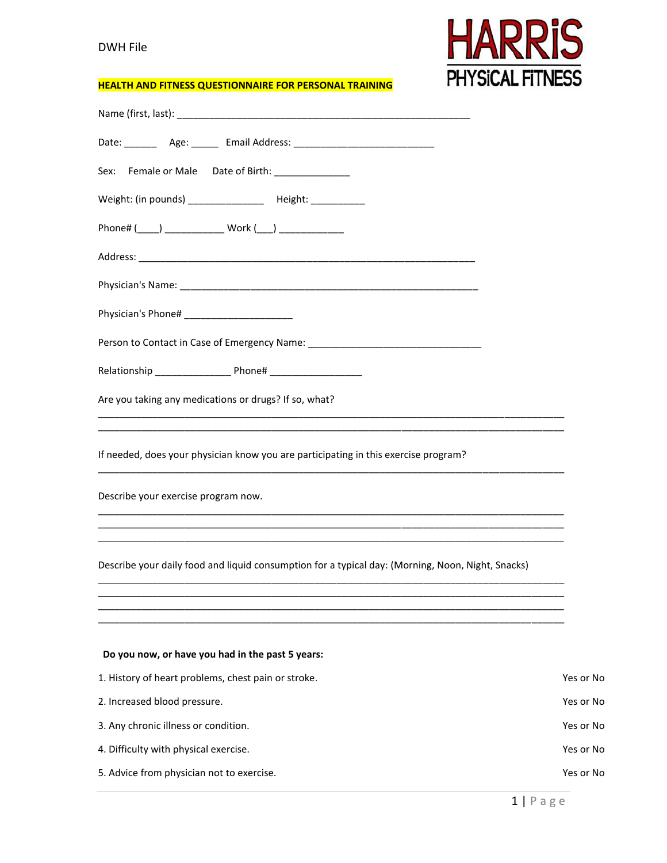## DWH File



## **HEALTH AND FITNESS QUESTIONNAIRE FOR PERSONAL TRAINING**

| Date: __________ Age: ________ Email Address: __________________________________                                      |           |
|-----------------------------------------------------------------------------------------------------------------------|-----------|
| Sex: Female or Male Date of Birth: ______________                                                                     |           |
| Weight: (in pounds) ___________________ Height: _____________                                                         |           |
| Phone# (____) _______________ Work (___) ______________                                                               |           |
|                                                                                                                       |           |
|                                                                                                                       |           |
| Physician's Phone# ________________________                                                                           |           |
| Person to Contact in Case of Emergency Name: ___________________________________                                      |           |
|                                                                                                                       |           |
| Are you taking any medications or drugs? If so, what?                                                                 |           |
| <u> 1989 - Johann Harry Harry Harry Harry Harry Harry Harry Harry Harry Harry Harry Harry Harry Harry Harry Harry</u> |           |
| If needed, does your physician know you are participating in this exercise program?                                   |           |
| Describe your exercise program now.                                                                                   |           |
|                                                                                                                       |           |
| Describe your daily food and liquid consumption for a typical day: (Morning, Noon, Night, Snacks)                     |           |
|                                                                                                                       |           |
|                                                                                                                       |           |
| Do you now, or have you had in the past 5 years:                                                                      |           |
| 1. History of heart problems, chest pain or stroke.                                                                   | Yes or No |
| 2. Increased blood pressure.                                                                                          | Yes or No |
| 3. Any chronic illness or condition.                                                                                  | Yes or No |
| 4. Difficulty with physical exercise.                                                                                 | Yes or No |
| 5. Advice from physician not to exercise.                                                                             | Yes or No |
|                                                                                                                       |           |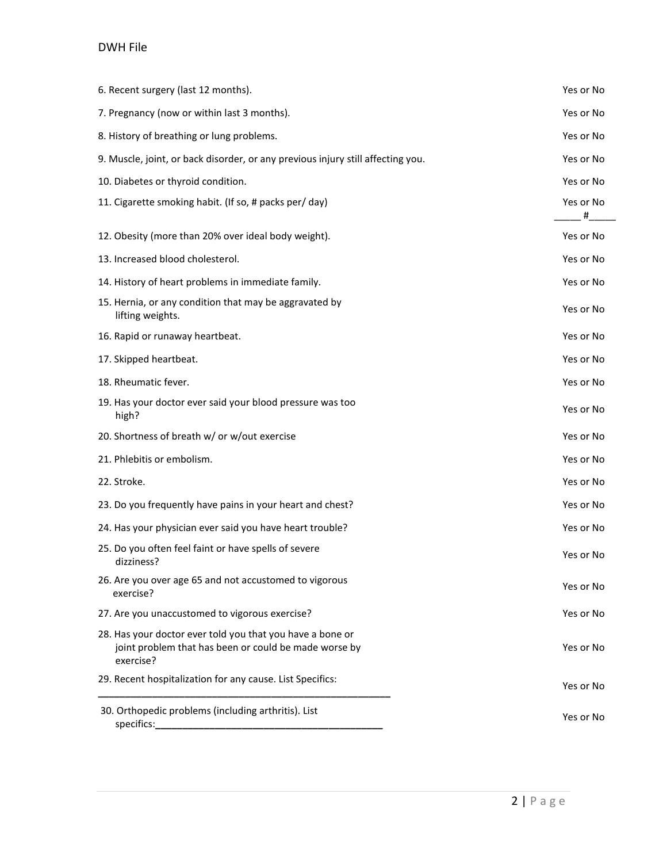## DWH File

| 6. Recent surgery (last 12 months).                                                                                             | Yes or No      |
|---------------------------------------------------------------------------------------------------------------------------------|----------------|
| 7. Pregnancy (now or within last 3 months).                                                                                     | Yes or No      |
| 8. History of breathing or lung problems.                                                                                       | Yes or No      |
| 9. Muscle, joint, or back disorder, or any previous injury still affecting you.                                                 | Yes or No      |
| 10. Diabetes or thyroid condition.                                                                                              | Yes or No      |
| 11. Cigarette smoking habit. (If so, # packs per/ day)                                                                          | Yes or No<br># |
| 12. Obesity (more than 20% over ideal body weight).                                                                             | Yes or No      |
| 13. Increased blood cholesterol.                                                                                                | Yes or No      |
| 14. History of heart problems in immediate family.                                                                              | Yes or No      |
| 15. Hernia, or any condition that may be aggravated by<br>lifting weights.                                                      | Yes or No      |
| 16. Rapid or runaway heartbeat.                                                                                                 | Yes or No      |
| 17. Skipped heartbeat.                                                                                                          | Yes or No      |
| 18. Rheumatic fever.                                                                                                            | Yes or No      |
| 19. Has your doctor ever said your blood pressure was too<br>high?                                                              | Yes or No      |
| 20. Shortness of breath w/ or w/out exercise                                                                                    | Yes or No      |
| 21. Phlebitis or embolism.                                                                                                      | Yes or No      |
| 22. Stroke.                                                                                                                     | Yes or No      |
| 23. Do you frequently have pains in your heart and chest?                                                                       | Yes or No      |
| 24. Has your physician ever said you have heart trouble?                                                                        | Yes or No      |
| 25. Do you often feel faint or have spells of severe<br>dizziness?                                                              | Yes or No      |
| 26. Are you over age 65 and not accustomed to vigorous<br>exercise?                                                             | Yes or No      |
| 27. Are you unaccustomed to vigorous exercise?                                                                                  | Yes or No      |
| 28. Has your doctor ever told you that you have a bone or<br>joint problem that has been or could be made worse by<br>exercise? | Yes or No      |
| 29. Recent hospitalization for any cause. List Specifics:                                                                       | Yes or No      |
| 30. Orthopedic problems (including arthritis). List                                                                             | Yes or No      |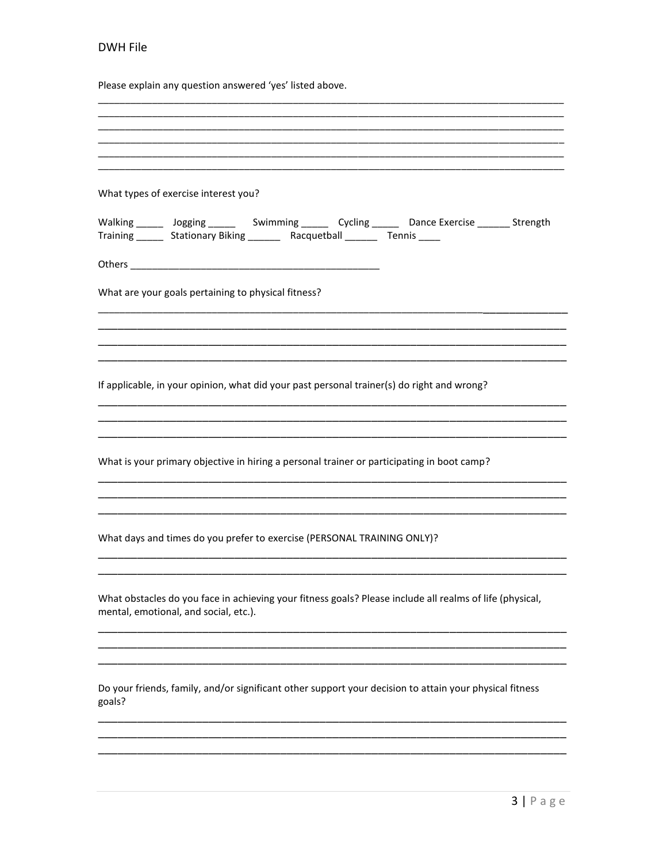## DWH File

Please explain any question answered 'yes' listed above.

| What types of exercise interest you?                                         |  |                                                                                                                |  |
|------------------------------------------------------------------------------|--|----------------------------------------------------------------------------------------------------------------|--|
| Training _______ Stationary Biking ________ Racquetball _______ Tennis _____ |  | Walking 1.000 Malking 1.000 Minming 1.000 Minming 2.000 Mycling 2.000 Minming 2.000 Minming 2.000 Minming 2.00 |  |
|                                                                              |  |                                                                                                                |  |
| What are your goals pertaining to physical fitness?                          |  |                                                                                                                |  |
|                                                                              |  |                                                                                                                |  |
|                                                                              |  | If applicable, in your opinion, what did your past personal trainer(s) do right and wrong?                     |  |
|                                                                              |  |                                                                                                                |  |
|                                                                              |  | What is your primary objective in hiring a personal trainer or participating in boot camp?                     |  |
|                                                                              |  |                                                                                                                |  |
| What days and times do you prefer to exercise (PERSONAL TRAINING ONLY)?      |  |                                                                                                                |  |
| mental, emotional, and social, etc.).                                        |  | What obstacles do you face in achieving your fitness goals? Please include all realms of life (physical,       |  |
|                                                                              |  |                                                                                                                |  |
| goals?                                                                       |  | Do your friends, family, and/or significant other support your decision to attain your physical fitness        |  |
|                                                                              |  |                                                                                                                |  |
|                                                                              |  |                                                                                                                |  |